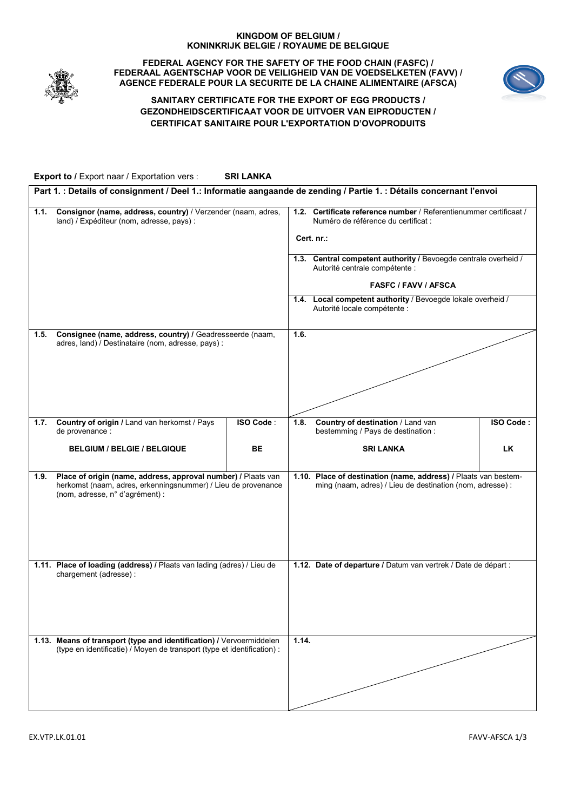## **KINGDOM OF BELGIUM / KONINKRIJK BELGIE / ROYAUME DE BELGIQUE**



#### **FEDERAL AGENCY FOR THE SAFETY OF THE FOOD CHAIN (FASFC) / FEDERAAL AGENTSCHAP VOOR DE VEILIGHEID VAN DE VOEDSELKETEN (FAVV) / AGENCE FEDERALE POUR LA SECURITE DE LA CHAINE ALIMENTAIRE (AFSCA)**



٦

# **SANITARY CERTIFICATE FOR THE EXPORT OF EGG PRODUCTS / GEZONDHEIDSCERTIFICAAT VOOR DE UITVOER VAN EIPRODUCTEN / CERTIFICAT SANITAIRE POUR L'EXPORTATION D'OVOPRODUITS**

**Export to /** Export naar / Exportation vers : **SRI LANKA**

|      | Part 1. : Details of consignment / Deel 1.: Informatie aangaande de zending / Partie 1. : Détails concernant l'envoi                                              |           |                                                                                                                              |                                                                                                   |                  |  |  |
|------|-------------------------------------------------------------------------------------------------------------------------------------------------------------------|-----------|------------------------------------------------------------------------------------------------------------------------------|---------------------------------------------------------------------------------------------------|------------------|--|--|
| 1.1. | Consignor (name, address, country) / Verzender (naam, adres,<br>land) / Expéditeur (nom, adresse, pays) :                                                         |           | Certificate reference number / Referentienummer certificaat /<br>1.2.<br>Numéro de référence du certificat :<br>Cert. nr.:   |                                                                                                   |                  |  |  |
|      |                                                                                                                                                                   |           |                                                                                                                              |                                                                                                   |                  |  |  |
|      |                                                                                                                                                                   |           |                                                                                                                              | 1.3. Central competent authority / Bevoegde centrale overheid /<br>Autorité centrale compétente : |                  |  |  |
|      |                                                                                                                                                                   |           | <b>FASFC / FAVV / AFSCA</b>                                                                                                  |                                                                                                   |                  |  |  |
|      |                                                                                                                                                                   |           |                                                                                                                              | 1.4. Local competent authority / Bevoegde lokale overheid /<br>Autorité locale compétente :       |                  |  |  |
| 1.5. | Consignee (name, address, country) / Geadresseerde (naam,<br>adres, land) / Destinataire (nom, adresse, pays) :                                                   |           | 1.6.                                                                                                                         |                                                                                                   |                  |  |  |
|      |                                                                                                                                                                   |           |                                                                                                                              |                                                                                                   |                  |  |  |
|      |                                                                                                                                                                   |           |                                                                                                                              |                                                                                                   |                  |  |  |
|      |                                                                                                                                                                   |           |                                                                                                                              |                                                                                                   |                  |  |  |
|      |                                                                                                                                                                   |           |                                                                                                                              |                                                                                                   |                  |  |  |
| 1.7. | Country of origin / Land van herkomst / Pays<br>de provenance :                                                                                                   | ISO Code: | 1.8.                                                                                                                         | Country of destination / Land van<br>bestemming / Pays de destination :                           | <b>ISO Code:</b> |  |  |
|      | <b>BELGIUM / BELGIE / BELGIQUE</b>                                                                                                                                | BE        |                                                                                                                              | <b>SRI LANKA</b>                                                                                  | LK               |  |  |
| 1.9. | Place of origin (name, address, approval number) / Plaats van<br>herkomst (naam, adres, erkenningsnummer) / Lieu de provenance<br>(nom, adresse, n° d'agrément) : |           | 1.10. Place of destination (name, address) / Plaats van bestem-<br>ming (naam, adres) / Lieu de destination (nom, adresse) : |                                                                                                   |                  |  |  |
|      | 1.11. Place of loading (address) / Plaats van lading (adres) / Lieu de<br>chargement (adresse) :                                                                  |           |                                                                                                                              | 1.12. Date of departure / Datum van vertrek / Date de départ :                                    |                  |  |  |
|      | 1.13. Means of transport (type and identification) / Vervoermiddelen<br>(type en identificatie) / Moyen de transport (type et identification) :                   |           | 1.14.                                                                                                                        |                                                                                                   |                  |  |  |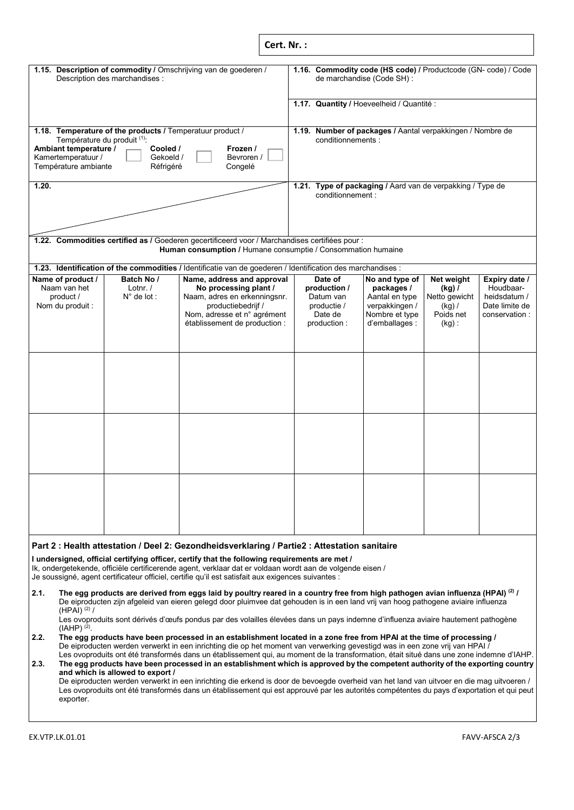| Cert. Nr.: |  |
|------------|--|
|            |  |
|            |  |

|                                                                                                                                                                                                                                           | Description des marchandises :                   | 1.15. Description of commodity / Omschrijving van de goederen /                                                                                                           |                                                                                  |                                                                               | 1.16. Commodity code (HS code) / Productcode (GN- code) / Code<br>de marchandise (Code SH) :         |                                                                              |                                                                               |
|-------------------------------------------------------------------------------------------------------------------------------------------------------------------------------------------------------------------------------------------|--------------------------------------------------|---------------------------------------------------------------------------------------------------------------------------------------------------------------------------|----------------------------------------------------------------------------------|-------------------------------------------------------------------------------|------------------------------------------------------------------------------------------------------|------------------------------------------------------------------------------|-------------------------------------------------------------------------------|
|                                                                                                                                                                                                                                           |                                                  |                                                                                                                                                                           |                                                                                  |                                                                               | 1.17. Quantity / Hoeveelheid / Quantité :                                                            |                                                                              |                                                                               |
| 1.18. Temperature of the products / Temperatuur product /<br>Température du produit (1)<br>Ambiant temperature /<br>Cooled /<br>Frozen /<br>Kamertemperatuur /<br>Bevroren /<br>Gekoeld /<br>Température ambiante<br>Congelé<br>Réfrigéré |                                                  |                                                                                                                                                                           | 1.19. Number of packages / Aantal verpakkingen / Nombre de<br>conditionnements : |                                                                               |                                                                                                      |                                                                              |                                                                               |
| 1.20.                                                                                                                                                                                                                                     |                                                  |                                                                                                                                                                           | 1.21. Type of packaging / Aard van de verpakking / Type de<br>conditionnement:   |                                                                               |                                                                                                      |                                                                              |                                                                               |
|                                                                                                                                                                                                                                           |                                                  | 1.22. Commodities certified as / Goederen gecertificeerd voor / Marchandises certifiées pour :<br>Human consumption / Humane consumptie / Consommation humaine            |                                                                                  |                                                                               |                                                                                                      |                                                                              |                                                                               |
|                                                                                                                                                                                                                                           |                                                  | 1.23. Identification of the commodities / Identificatie van de goederen / Identification des marchandises :                                                               |                                                                                  |                                                                               |                                                                                                      |                                                                              |                                                                               |
| Name of product /<br>Naam van het<br>product /<br>Nom du produit :                                                                                                                                                                        | Batch No /<br>Lotnr. $/$<br>$N^{\circ}$ de lot : | Name, address and approval<br>No processing plant /<br>Naam, adres en erkenningsnr.<br>productiebedrijf /<br>Nom, adresse et n° agrément<br>établissement de production : |                                                                                  | Date of<br>production /<br>Datum van<br>productie /<br>Date de<br>production: | No and type of<br>packages /<br>Aantal en type<br>verpakkingen /<br>Nombre et type<br>d'emballages : | Net weight<br>$(kg)$ /<br>Netto gewicht<br>$(kq)$ /<br>Poids net<br>$(kg)$ : | Expiry date /<br>Houdbaar-<br>heidsdatum /<br>Date limite de<br>conservation: |
|                                                                                                                                                                                                                                           |                                                  |                                                                                                                                                                           |                                                                                  |                                                                               |                                                                                                      |                                                                              |                                                                               |
|                                                                                                                                                                                                                                           |                                                  |                                                                                                                                                                           |                                                                                  |                                                                               |                                                                                                      |                                                                              |                                                                               |
|                                                                                                                                                                                                                                           |                                                  |                                                                                                                                                                           |                                                                                  |                                                                               |                                                                                                      |                                                                              |                                                                               |

## **Part 2 : Health attestation / Deel 2: Gezondheidsverklaring / Partie2 : Attestation sanitaire**

**I undersigned, official certifying officer, certify that the following requirements are met /**

Ik, ondergetekende, officiële certificerende agent, verklaar dat er voldaan wordt aan de volgende eisen /

Je soussigné, agent certificateur officiel, certifie qu'il est satisfait aux exigences suivantes :

**2.1. The egg products are derived from eggs laid by poultry reared in a country free from high pathogen avian influenza (HPAI) (2) /** De eiproducten zijn afgeleid van eieren gelegd door pluimvee dat gehouden is in een land vrij van hoog pathogene aviaire influenza  $(HPAI)$ <sup>(2)</sup> /

Les ovoproduits sont dérivés d'œufs pondus par des volailles élevées dans un pays indemne d'influenza aviaire hautement pathogène  $(IAHP)$ <sup>(2)</sup>.

**2.2. The egg products have been processed in an establishment located in a zone free from HPAI at the time of processing /** De eiproducten werden verwerkt in een inrichting die op het moment van verwerking gevestigd was in een zone vrij van HPAI / Les ovoproduits ont été transformés dans un établissement qui, au moment de la transformation, était situé dans une zone indemne d'IAHP.

# **2.3. The egg products have been processed in an establishment which is approved by the competent authority of the exporting country and which is allowed to export /**

De eiproducten werden verwerkt in een inrichting die erkend is door de bevoegde overheid van het land van uitvoer en die mag uitvoeren / Les ovoproduits ont été transformés dans un établissement qui est approuvé par les autorités compétentes du pays d'exportation et qui peut exporter.